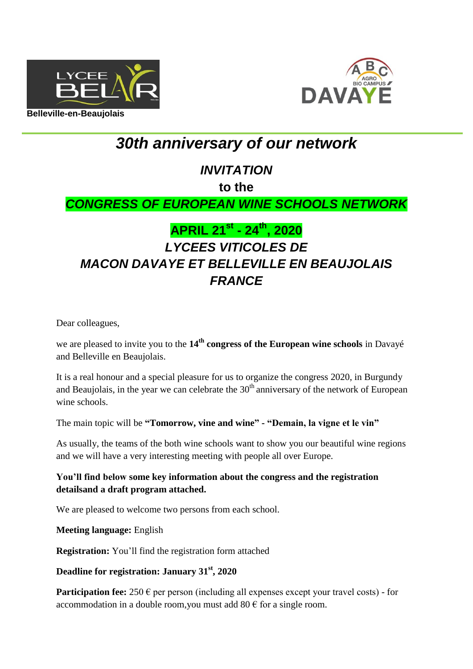



# *30th anniversary of our network*

### *INVITATION*

**to the**

### *CONGRESS OF EUROPEAN WINE SCHOOLS NETWORK*

## **APRIL 21st - 24th, 2020** *LYCEES VITICOLES DE MACON DAVAYE ET BELLEVILLE EN BEAUJOLAIS FRANCE*

Dear colleagues,

we are pleased to invite you to the 14<sup>th</sup> congress of the European wine schools in Davayé and Belleville en Beaujolais.

It is a real honour and a special pleasure for us to organize the congress 2020, in Burgundy and Beaujolais, in the year we can celebrate the  $30<sup>th</sup>$  anniversary of the network of European wine schools.

The main topic will be **"Tomorrow, vine and wine" - "Demain, la vigne et le vin"**

As usually, the teams of the both wine schools want to show you our beautiful wine regions and we will have a very interesting meeting with people all over Europe.

### **You'll find below some key information about the congress and the registration detailsand a draft program attached.**

We are pleased to welcome two persons from each school.

**Meeting language:** English

**Registration:** You'll find the registration form attached

#### **Deadline for registration: January 31st, 2020**

**Participation fee:**  $250 \in \text{per person}$  (including all expenses except your travel costs) - for accommodation in a double room, you must add  $80 \text{ } \in$  for a single room.